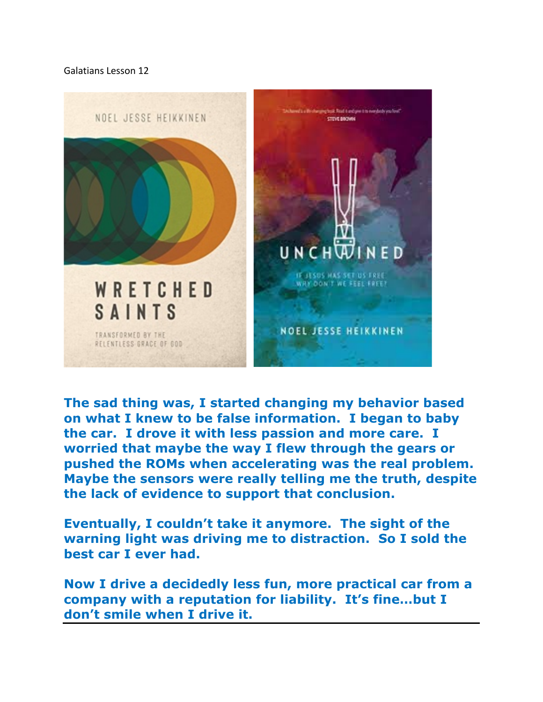Galatians Lesson 12



**The sad thing was, I started changing my behavior based on what I knew to be false information. I began to baby the car. I drove it with less passion and more care. I worried that maybe the way I flew through the gears or pushed the ROMs when accelerating was the real problem. Maybe the sensors were really telling me the truth, despite the lack of evidence to support that conclusion.**

**Eventually, I couldn't take it anymore. The sight of the warning light was driving me to distraction. So I sold the best car I ever had.**

**Now I drive a decidedly less fun, more practical car from a company with a reputation for liability. It's fine…but I don't smile when I drive it.**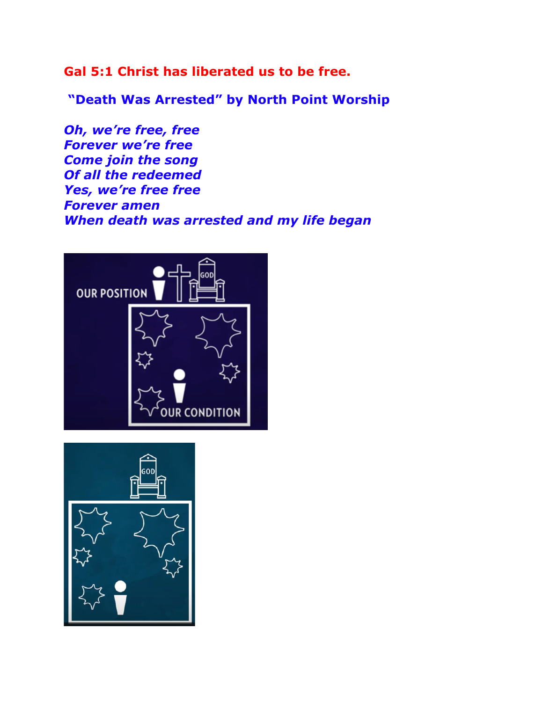**Gal 5:1 Christ has liberated us to be free.**

**"Death Was Arrested" by North Point Worship**

*Oh, we're free, free Forever we're free Come join the song Of all the redeemed Yes, we're free free Forever amen When death was arrested and my life began*



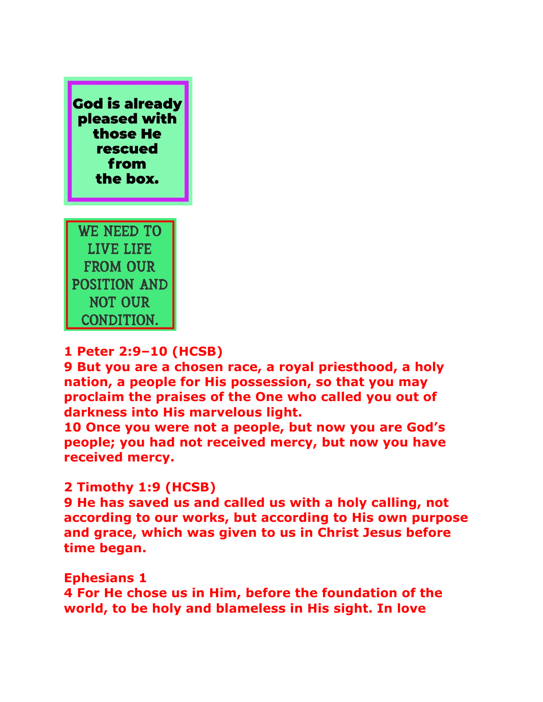

LIVE LIFE **FROM OUR POSITION AND NOT OUR CONDITION.** 

## **1 Peter 2:9–10 (HCSB)**

**9 But you are a chosen race, a royal priesthood, a holy nation, a people for His possession, so that you may proclaim the praises of the One who called you out of darkness into His marvelous light.** 

**10 Once you were not a people, but now you are God's people; you had not received mercy, but now you have received mercy.** 

## **2 Timothy 1:9 (HCSB)**

**9 He has saved us and called us with a holy calling, not according to our works, but according to His own purpose and grace, which was given to us in Christ Jesus before time began.** 

**Ephesians 1** 

**4 For He chose us in Him, before the foundation of the world, to be holy and blameless in His sight. In love**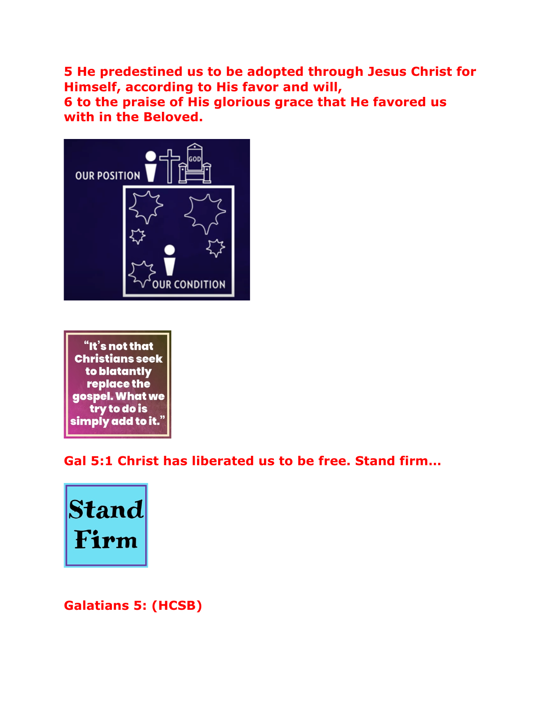**5 He predestined us to be adopted through Jesus Christ for Himself, according to His favor and will, 6 to the praise of His glorious grace that He favored us with in the Beloved.**





**Gal 5:1 Christ has liberated us to be free. Stand firm…**



**Galatians 5: (HCSB)**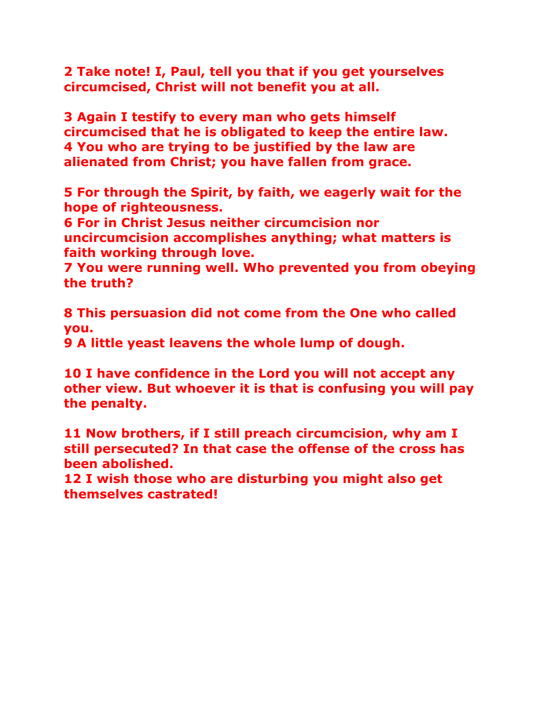**2 Take note! I, Paul, tell you that if you get yourselves circumcised, Christ will not benefit you at all.** 

**3 Again I testify to every man who gets himself circumcised that he is obligated to keep the entire law. 4 You who are trying to be justified by the law are alienated from Christ; you have fallen from grace.** 

**5 For through the Spirit, by faith, we eagerly wait for the hope of righteousness.** 

**6 For in Christ Jesus neither circumcision nor uncircumcision accomplishes anything; what matters is faith working through love.** 

**7 You were running well. Who prevented you from obeying the truth?** 

**8 This persuasion did not come from the One who called you.**

**9 A little yeast leavens the whole lump of dough.** 

**10 I have confidence in the Lord you will not accept any other view. But whoever it is that is confusing you will pay the penalty.** 

**11 Now brothers, if I still preach circumcision, why am I still persecuted? In that case the offense of the cross has been abolished.** 

**12 I wish those who are disturbing you might also get themselves castrated!**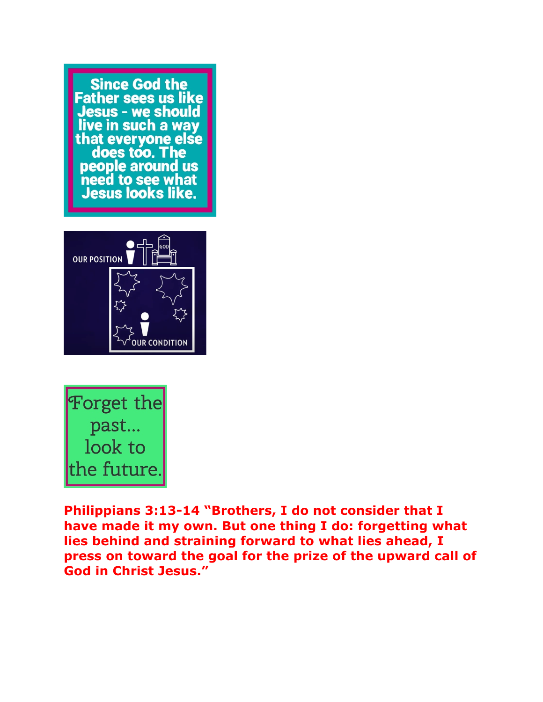**Since God the Father sees us like** Jesus - we should live in such a way that everyone else does too. The **people around us** need to see what Jesus looks like.





**Philippians 3:13-14 "Brothers, I do not consider that I have made it my own. But one thing I do: forgetting what lies behind and straining forward to what lies ahead, I press on toward the goal for the prize of the upward call of God in Christ Jesus."**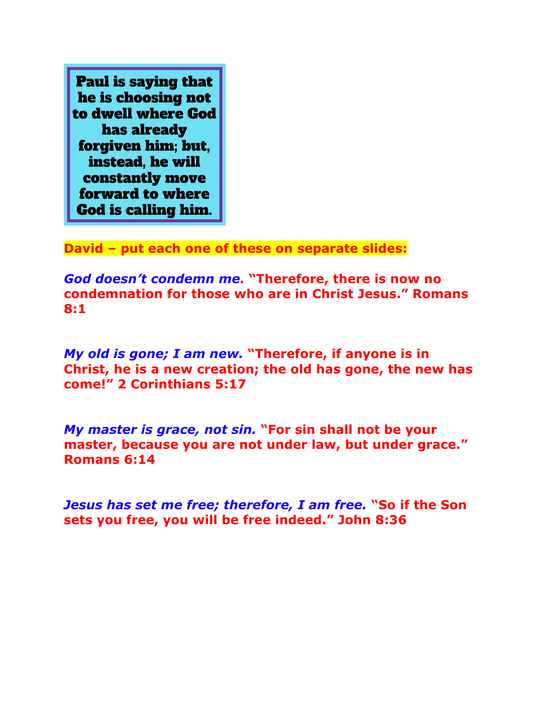**Paul is saying that** he is choosing not to dwell where God has already forgiven him: but. instead. he will constantly move forward to where **God is calling him.** 

**David – put each one of these on separate slides:**

*God doesn't condemn me.* **"Therefore, there is now no condemnation for those who are in Christ Jesus." Romans 8:1**

*My old is gone; I am new.* **"Therefore, if anyone is in Christ, he is a new creation; the old has gone, the new has come!" 2 Corinthians 5:17**

*My master is grace, not sin.* **"For sin shall not be your master, because you are not under law, but under grace." Romans 6:14**

*Jesus has set me free; therefore, I am free.* **"So if the Son sets you free, you will be free indeed." John 8:36**